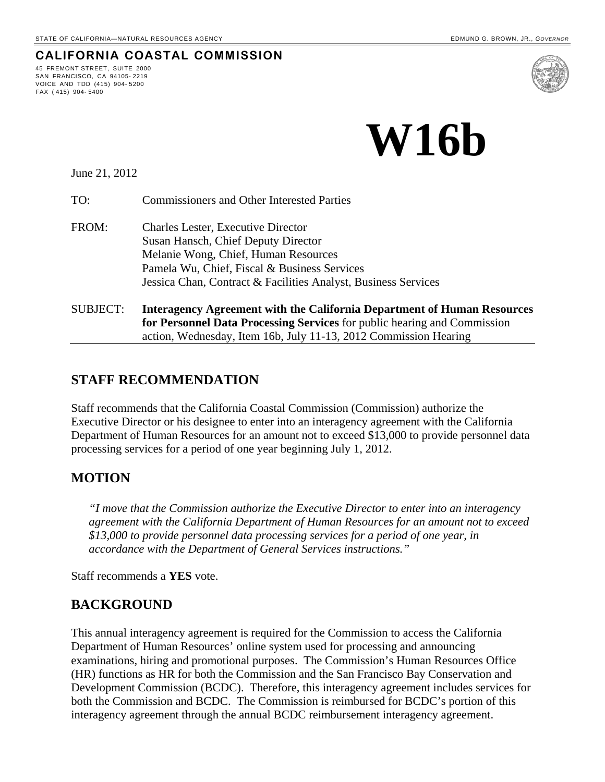**CALIFORNIA COASTAL COMMISSION**

# **W16b**

June 21, 2012

45 FREMONT STREET, SUITE 2000 SAN FRANCISCO, CA 94105- 2219 VOICE AND TDD (415) 904- 5200

FAX ( 415) 904- 5400

TO: Commissioners and Other Interested Parties

- FROM: Charles Lester, Executive Director Susan Hansch, Chief Deputy Director Melanie Wong, Chief, Human Resources Pamela Wu, Chief, Fiscal & Business Services Jessica Chan, Contract & Facilities Analyst, Business Services
- SUBJECT: **Interagency Agreement with the California Department of Human Resources for Personnel Data Processing Services** for public hearing and Commission action, Wednesday, Item 16b, July 11-13, 2012 Commission Hearing

### **STAFF RECOMMENDATION**

Staff recommends that the California Coastal Commission (Commission) authorize the Executive Director or his designee to enter into an interagency agreement with the California Department of Human Resources for an amount not to exceed \$13,000 to provide personnel data processing services for a period of one year beginning July 1, 2012.

### **MOTION**

*"I move that the Commission authorize the Executive Director to enter into an interagency agreement with the California Department of Human Resources for an amount not to exceed \$13,000 to provide personnel data processing services for a period of one year, in accordance with the Department of General Services instructions."* 

Staff recommends a **YES** vote.

### **BACKGROUND**

This annual interagency agreement is required for the Commission to access the California Department of Human Resources' online system used for processing and announcing examinations, hiring and promotional purposes. The Commission's Human Resources Office (HR) functions as HR for both the Commission and the San Francisco Bay Conservation and Development Commission (BCDC). Therefore, this interagency agreement includes services for both the Commission and BCDC. The Commission is reimbursed for BCDC's portion of this interagency agreement through the annual BCDC reimbursement interagency agreement.